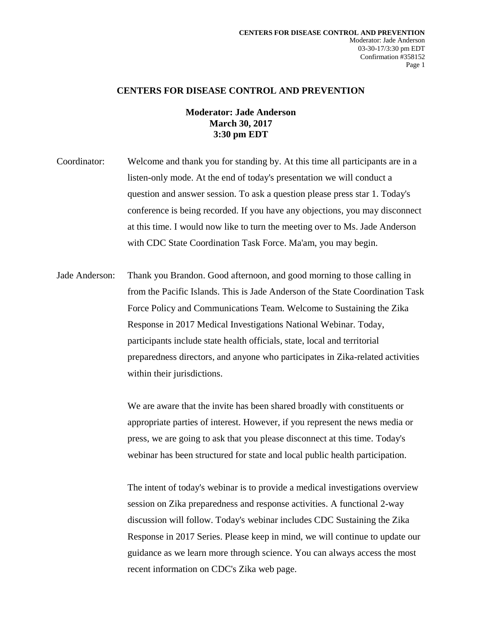## **CENTERS FOR DISEASE CONTROL AND PREVENTION**

## **Moderator: Jade Anderson March 30, 2017 3:30 pm EDT**

Coordinator: Welcome and thank you for standing by. At this time all participants are in a listen-only mode. At the end of today's presentation we will conduct a question and answer session. To ask a question please press star 1. Today's conference is being recorded. If you have any objections, you may disconnect at this time. I would now like to turn the meeting over to Ms. Jade Anderson with CDC State Coordination Task Force. Ma'am, you may begin.

Jade Anderson: Thank you Brandon. Good afternoon, and good morning to those calling in from the Pacific Islands. This is Jade Anderson of the State Coordination Task Force Policy and Communications Team. Welcome to Sustaining the Zika Response in 2017 Medical Investigations National Webinar. Today, participants include state health officials, state, local and territorial preparedness directors, and anyone who participates in Zika-related activities within their jurisdictions.

> We are aware that the invite has been shared broadly with constituents or appropriate parties of interest. However, if you represent the news media or press, we are going to ask that you please disconnect at this time. Today's webinar has been structured for state and local public health participation.

The intent of today's webinar is to provide a medical investigations overview session on Zika preparedness and response activities. A functional 2-way discussion will follow. Today's webinar includes CDC Sustaining the Zika Response in 2017 Series. Please keep in mind, we will continue to update our guidance as we learn more through science. You can always access the most recent information on CDC's Zika web page.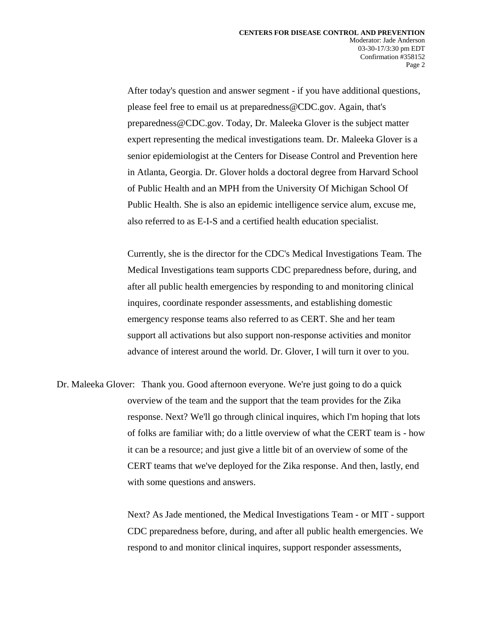After today's question and answer segment - if you have additional questions, please feel free to email us at preparedness@CDC.gov. Again, that's preparedness@CDC.gov. Today, Dr. Maleeka Glover is the subject matter expert representing the medical investigations team. Dr. Maleeka Glover is a senior epidemiologist at the Centers for Disease Control and Prevention here in Atlanta, Georgia. Dr. Glover holds a doctoral degree from Harvard School of Public Health and an MPH from the University Of Michigan School Of Public Health. She is also an epidemic intelligence service alum, excuse me, also referred to as E-I-S and a certified health education specialist.

Currently, she is the director for the CDC's Medical Investigations Team. The Medical Investigations team supports CDC preparedness before, during, and after all public health emergencies by responding to and monitoring clinical inquires, coordinate responder assessments, and establishing domestic emergency response teams also referred to as CERT. She and her team support all activations but also support non-response activities and monitor advance of interest around the world. Dr. Glover, I will turn it over to you.

Dr. Maleeka Glover: Thank you. Good afternoon everyone. We're just going to do a quick overview of the team and the support that the team provides for the Zika response. Next? We'll go through clinical inquires, which I'm hoping that lots of folks are familiar with; do a little overview of what the CERT team is - how it can be a resource; and just give a little bit of an overview of some of the CERT teams that we've deployed for the Zika response. And then, lastly, end with some questions and answers.

> Next? As Jade mentioned, the Medical Investigations Team - or MIT - support CDC preparedness before, during, and after all public health emergencies. We respond to and monitor clinical inquires, support responder assessments,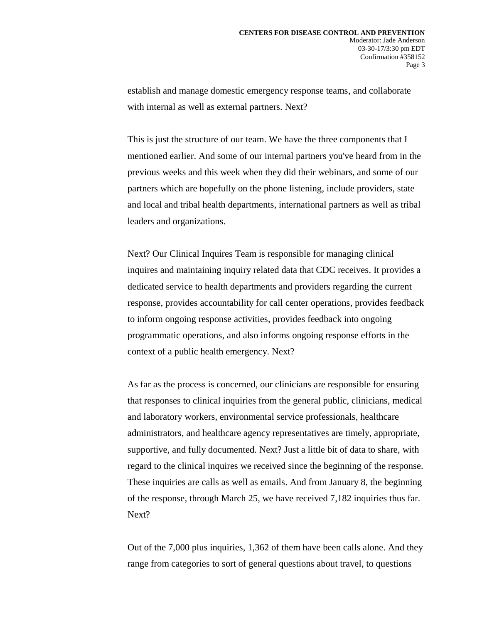establish and manage domestic emergency response teams, and collaborate with internal as well as external partners. Next?

This is just the structure of our team. We have the three components that I mentioned earlier. And some of our internal partners you've heard from in the previous weeks and this week when they did their webinars, and some of our partners which are hopefully on the phone listening, include providers, state and local and tribal health departments, international partners as well as tribal leaders and organizations.

Next? Our Clinical Inquires Team is responsible for managing clinical inquires and maintaining inquiry related data that CDC receives. It provides a dedicated service to health departments and providers regarding the current response, provides accountability for call center operations, provides feedback to inform ongoing response activities, provides feedback into ongoing programmatic operations, and also informs ongoing response efforts in the context of a public health emergency. Next?

As far as the process is concerned, our clinicians are responsible for ensuring that responses to clinical inquiries from the general public, clinicians, medical and laboratory workers, environmental service professionals, healthcare administrators, and healthcare agency representatives are timely, appropriate, supportive, and fully documented. Next? Just a little bit of data to share, with regard to the clinical inquires we received since the beginning of the response. These inquiries are calls as well as emails. And from January 8, the beginning of the response, through March 25, we have received 7,182 inquiries thus far. Next?

Out of the 7,000 plus inquiries, 1,362 of them have been calls alone. And they range from categories to sort of general questions about travel, to questions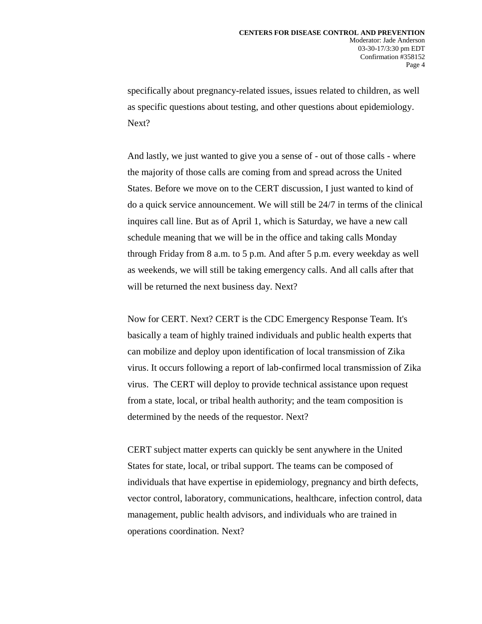specifically about pregnancy-related issues, issues related to children, as well as specific questions about testing, and other questions about epidemiology. Next?

And lastly, we just wanted to give you a sense of - out of those calls - where the majority of those calls are coming from and spread across the United States. Before we move on to the CERT discussion, I just wanted to kind of do a quick service announcement. We will still be 24/7 in terms of the clinical inquires call line. But as of April 1, which is Saturday, we have a new call schedule meaning that we will be in the office and taking calls Monday through Friday from 8 a.m. to 5 p.m. And after 5 p.m. every weekday as well as weekends, we will still be taking emergency calls. And all calls after that will be returned the next business day. Next?

Now for CERT. Next? CERT is the CDC Emergency Response Team. It's basically a team of highly trained individuals and public health experts that can mobilize and deploy upon identification of local transmission of Zika virus. It occurs following a report of lab-confirmed local transmission of Zika virus. The CERT will deploy to provide technical assistance upon request from a state, local, or tribal health authority; and the team composition is determined by the needs of the requestor. Next?

CERT subject matter experts can quickly be sent anywhere in the United States for state, local, or tribal support. The teams can be composed of individuals that have expertise in epidemiology, pregnancy and birth defects, vector control, laboratory, communications, healthcare, infection control, data management, public health advisors, and individuals who are trained in operations coordination. Next?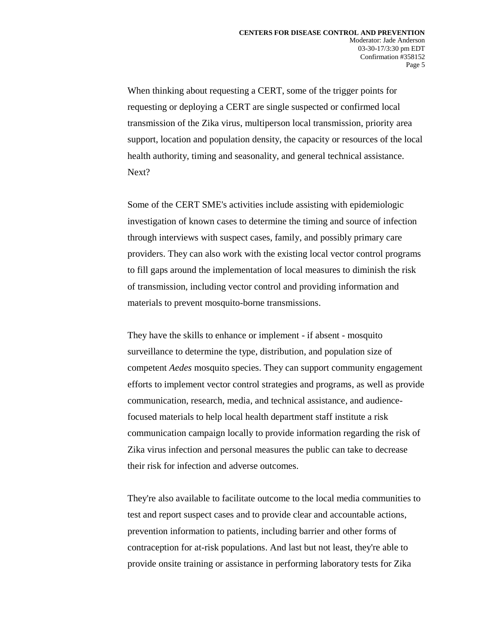When thinking about requesting a CERT, some of the trigger points for requesting or deploying a CERT are single suspected or confirmed local transmission of the Zika virus, multiperson local transmission, priority area support, location and population density, the capacity or resources of the local health authority, timing and seasonality, and general technical assistance. Next?

Some of the CERT SME's activities include assisting with epidemiologic investigation of known cases to determine the timing and source of infection through interviews with suspect cases, family, and possibly primary care providers. They can also work with the existing local vector control programs to fill gaps around the implementation of local measures to diminish the risk of transmission, including vector control and providing information and materials to prevent mosquito-borne transmissions.

They have the skills to enhance or implement - if absent - mosquito surveillance to determine the type, distribution, and population size of competent *Aedes* mosquito species. They can support community engagement efforts to implement vector control strategies and programs, as well as provide communication, research, media, and technical assistance, and audiencefocused materials to help local health department staff institute a risk communication campaign locally to provide information regarding the risk of Zika virus infection and personal measures the public can take to decrease their risk for infection and adverse outcomes.

They're also available to facilitate outcome to the local media communities to test and report suspect cases and to provide clear and accountable actions, prevention information to patients, including barrier and other forms of contraception for at-risk populations. And last but not least, they're able to provide onsite training or assistance in performing laboratory tests for Zika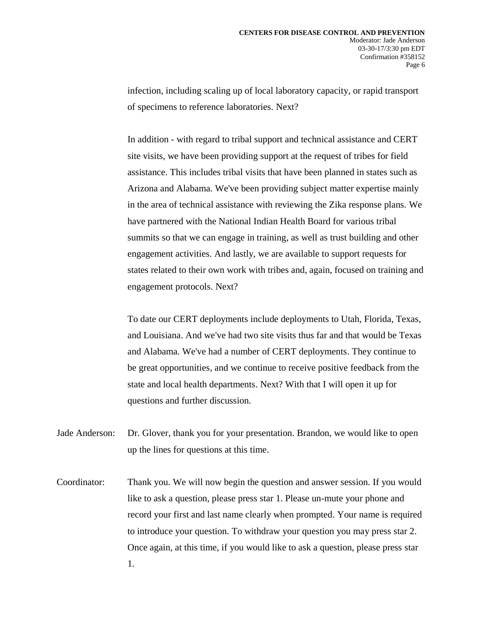infection, including scaling up of local laboratory capacity, or rapid transport of specimens to reference laboratories. Next?

In addition - with regard to tribal support and technical assistance and CERT site visits, we have been providing support at the request of tribes for field assistance. This includes tribal visits that have been planned in states such as Arizona and Alabama. We've been providing subject matter expertise mainly in the area of technical assistance with reviewing the Zika response plans. We have partnered with the National Indian Health Board for various tribal summits so that we can engage in training, as well as trust building and other engagement activities. And lastly, we are available to support requests for states related to their own work with tribes and, again, focused on training and engagement protocols. Next?

To date our CERT deployments include deployments to Utah, Florida, Texas, and Louisiana. And we've had two site visits thus far and that would be Texas and Alabama. We've had a number of CERT deployments. They continue to be great opportunities, and we continue to receive positive feedback from the state and local health departments. Next? With that I will open it up for questions and further discussion.

- Jade Anderson: Dr. Glover, thank you for your presentation. Brandon, we would like to open up the lines for questions at this time.
- Coordinator: Thank you. We will now begin the question and answer session. If you would like to ask a question, please press star 1. Please un-mute your phone and record your first and last name clearly when prompted. Your name is required to introduce your question. To withdraw your question you may press star 2. Once again, at this time, if you would like to ask a question, please press star 1.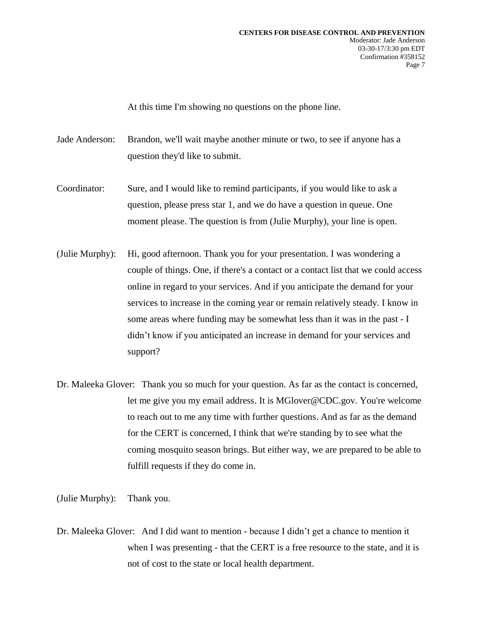At this time I'm showing no questions on the phone line.

Jade Anderson: Brandon, we'll wait maybe another minute or two, to see if anyone has a question they'd like to submit.

- Coordinator: Sure, and I would like to remind participants, if you would like to ask a question, please press star 1, and we do have a question in queue. One moment please. The question is from (Julie Murphy), your line is open.
- (Julie Murphy): Hi, good afternoon. Thank you for your presentation. I was wondering a couple of things. One, if there's a contact or a contact list that we could access online in regard to your services. And if you anticipate the demand for your services to increase in the coming year or remain relatively steady. I know in some areas where funding may be somewhat less than it was in the past - I didn't know if you anticipated an increase in demand for your services and support?
- Dr. Maleeka Glover: Thank you so much for your question. As far as the contact is concerned, let me give you my email address. It is MGlover@CDC.gov. You're welcome to reach out to me any time with further questions. And as far as the demand for the CERT is concerned, I think that we're standing by to see what the coming mosquito season brings. But either way, we are prepared to be able to fulfill requests if they do come in.

(Julie Murphy): Thank you.

Dr. Maleeka Glover: And I did want to mention - because I didn't get a chance to mention it when I was presenting - that the CERT is a free resource to the state, and it is not of cost to the state or local health department.